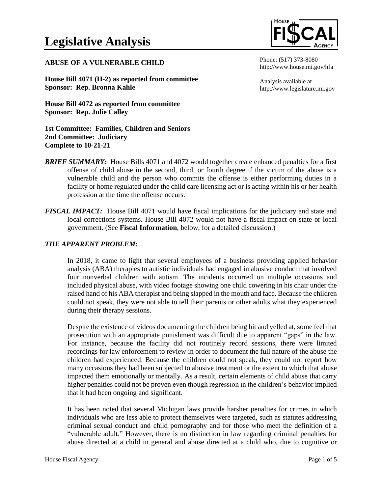#### **ABUSE OF A VULNERABLE CHILD**

**House Bill 4071 (H-2) as reported from committee Sponsor: Rep. Bronna Kahle**

**House Bill 4072 as reported from committee Sponsor: Rep. Julie Calley**

**1st Committee: Families, Children and Seniors 2nd Committee: Judiciary Complete to 10-21-21**

- **BRIEF SUMMARY:** House Bills 4071 and 4072 would together create enhanced penalties for a first offense of child abuse in the second, third, or fourth degree if the victim of the abuse is a vulnerable child and the person who commits the offense is either performing duties in a facility or home regulated under the child care licensing act or is acting within his or her health profession at the time the offense occurs.
- *FISCAL IMPACT:* House Bill 4071 would have fiscal implications for the judiciary and state and local corrections systems. House Bill 4072 would not have a fiscal impact on state or local government. (See **Fiscal Information**, below, for a detailed discussion.)

#### *THE APPARENT PROBLEM:*

In 2018, it came to light that several employees of a business providing applied behavior analysis (ABA) therapies to autistic individuals had engaged in abusive conduct that involved four nonverbal children with autism. The incidents occurred on multiple occasions and included physical abuse, with video footage showing one child cowering in his chair under the raised hand of his ABA therapist and being slapped in the mouth and face. Because the children could not speak, they were not able to tell their parents or other adults what they experienced during their therapy sessions.

Despite the existence of videos documenting the children being hit and yelled at, some feel that prosecution with an appropriate punishment was difficult due to apparent "gaps" in the law. For instance, because the facility did not routinely record sessions, there were limited recordings for law enforcement to review in order to document the full nature of the abuse the children had experienced. Because the children could not speak, they could not report how many occasions they had been subjected to abusive treatment or the extent to which that abuse impacted them emotionally or mentally. As a result, certain elements of child abuse that carry higher penalties could not be proven even though regression in the children's behavior implied that it had been ongoing and significant.

It has been noted that several Michigan laws provide harsher penalties for crimes in which individuals who are less able to protect themselves were targeted, such as statutes addressing criminal sexual conduct and child pornography and for those who meet the definition of a "vulnerable adult." However, there is no distinction in law regarding criminal penalties for abuse directed at a child in general and abuse directed at a child who, due to cognitive or



Phone: (517) 373-8080 http://www.house.mi.gov/hfa

Analysis available at http://www.legislature.mi.gov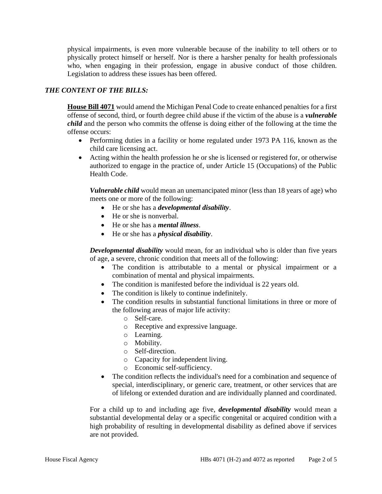physical impairments, is even more vulnerable because of the inability to tell others or to physically protect himself or herself. Nor is there a harsher penalty for health professionals who, when engaging in their profession, engage in abusive conduct of those children. Legislation to address these issues has been offered.

# *THE CONTENT OF THE BILLS:*

**House Bill 4071** would amend the Michigan Penal Code to create enhanced penalties for a first offense of second, third, or fourth degree child abuse if the victim of the abuse is a *vulnerable child* and the person who commits the offense is doing either of the following at the time the offense occurs:

- Performing duties in a facility or home regulated under 1973 PA 116, known as the child care licensing act.
- Acting within the health profession he or she is licensed or registered for, or otherwise authorized to engage in the practice of, under Article 15 (Occupations) of the Public Health Code.

*Vulnerable child* would mean an unemancipated minor (less than 18 years of age) who meets one or more of the following:

- He or she has a *developmental disability*.
- He or she is nonverbal.
- He or she has a *mental illness*.
- He or she has a *physical disability*.

*Developmental disability* would mean, for an individual who is older than five years of age, a severe, chronic condition that meets all of the following:

- The condition is attributable to a mental or physical impairment or a combination of mental and physical impairments.
- The condition is manifested before the individual is 22 years old.
- The condition is likely to continue indefinitely.
- The condition results in substantial functional limitations in three or more of the following areas of major life activity:
	- o Self-care.
	- o Receptive and expressive language.
	- o Learning.
	- o Mobility.
	- o Self-direction.
	- o Capacity for independent living.
	- o Economic self-sufficiency.
- The condition reflects the individual's need for a combination and sequence of special, interdisciplinary, or generic care, treatment, or other services that are of lifelong or extended duration and are individually planned and coordinated.

For a child up to and including age five, *developmental disability* would mean a substantial developmental delay or a specific congenital or acquired condition with a high probability of resulting in developmental disability as defined above if services are not provided.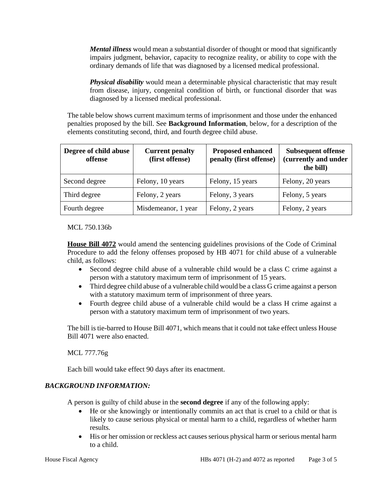*Mental illness* would mean a substantial disorder of thought or mood that significantly impairs judgment, behavior, capacity to recognize reality, or ability to cope with the ordinary demands of life that was diagnosed by a licensed medical professional.

*Physical disability* would mean a determinable physical characteristic that may result from disease, injury, congenital condition of birth, or functional disorder that was diagnosed by a licensed medical professional.

The table below shows current maximum terms of imprisonment and those under the enhanced penalties proposed by the bill. See **Background Information**, below, for a description of the elements constituting second, third, and fourth degree child abuse.

| Degree of child abuse<br>offense | <b>Current penalty</b><br>(first offense) | <b>Proposed enhanced</b><br>penalty (first offense) | <b>Subsequent offense</b><br>(currently and under<br>the bill) |
|----------------------------------|-------------------------------------------|-----------------------------------------------------|----------------------------------------------------------------|
| Second degree                    | Felony, 10 years                          | Felony, 15 years                                    | Felony, 20 years                                               |
| Third degree                     | Felony, 2 years                           | Felony, 3 years                                     | Felony, 5 years                                                |
| Fourth degree                    | Misdemeanor, 1 year                       | Felony, 2 years                                     | Felony, 2 years                                                |

MCL 750.136b

**House Bill 4072** would amend the sentencing guidelines provisions of the Code of Criminal Procedure to add the felony offenses proposed by HB 4071 for child abuse of a vulnerable child, as follows:

- Second degree child abuse of a vulnerable child would be a class C crime against a person with a statutory maximum term of imprisonment of 15 years.
- Third degree child abuse of a vulnerable child would be a class G crime against a person with a statutory maximum term of imprisonment of three years.
- Fourth degree child abuse of a vulnerable child would be a class H crime against a person with a statutory maximum term of imprisonment of two years.

The bill is tie-barred to House Bill 4071, which means that it could not take effect unless House Bill 4071 were also enacted.

MCL 777.76g

Each bill would take effect 90 days after its enactment.

# *BACKGROUND INFORMATION:*

A person is guilty of child abuse in the **second degree** if any of the following apply:

- He or she knowingly or intentionally commits an act that is cruel to a child or that is likely to cause serious physical or mental harm to a child, regardless of whether harm results.
- His or her omission or reckless act causes serious physical harm or serious mental harm to a child.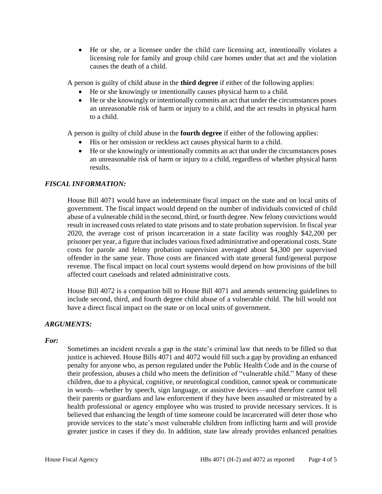• He or she, or a licensee under the child care licensing act, intentionally violates a licensing rule for family and group child care homes under that act and the violation causes the death of a child.

A person is guilty of child abuse in the **third degree** if either of the following applies:

- He or she knowingly or intentionally causes physical harm to a child.
- He or she knowingly or intentionally commits an act that under the circumstances poses an unreasonable risk of harm or injury to a child, and the act results in physical harm to a child.

A person is guilty of child abuse in the **fourth degree** if either of the following applies:

- His or her omission or reckless act causes physical harm to a child.
- He or she knowingly or intentionally commits an act that under the circumstances poses an unreasonable risk of harm or injury to a child, regardless of whether physical harm results.

# *FISCAL INFORMATION:*

House Bill 4071 would have an indeterminate fiscal impact on the state and on local units of government. The fiscal impact would depend on the number of individuals convicted of child abuse of a vulnerable child in the second, third, or fourth degree. New felony convictions would result in increased costs related to state prisons and to state probation supervision. In fiscal year 2020, the average cost of prison incarceration in a state facility was roughly \$42,200 per prisoner per year, a figure that includes various fixed administrative and operational costs. State costs for parole and felony probation supervision averaged about \$4,300 per supervised offender in the same year. Those costs are financed with state general fund/general purpose revenue. The fiscal impact on local court systems would depend on how provisions of the bill affected court caseloads and related administrative costs.

House Bill 4072 is a companion bill to House Bill 4071 and amends sentencing guidelines to include second, third, and fourth degree child abuse of a vulnerable child. The bill would not have a direct fiscal impact on the state or on local units of government.

# *ARGUMENTS:*

#### *For:*

Sometimes an incident reveals a gap in the state's criminal law that needs to be filled so that justice is achieved. House Bills 4071 and 4072 would fill such a gap by providing an enhanced penalty for anyone who, as person regulated under the Public Health Code and in the course of their profession, abuses a child who meets the definition of "vulnerable child." Many of these children, due to a physical, cognitive, or neurological condition, cannot speak or communicate in words—whether by speech, sign language, or assistive devices—and therefore cannot tell their parents or guardians and law enforcement if they have been assaulted or mistreated by a health professional or agency employee who was trusted to provide necessary services. It is believed that enhancing the length of time someone could be incarcerated will deter those who provide services to the state's most vulnerable children from inflicting harm and will provide greater justice in cases if they do. In addition, state law already provides enhanced penalties